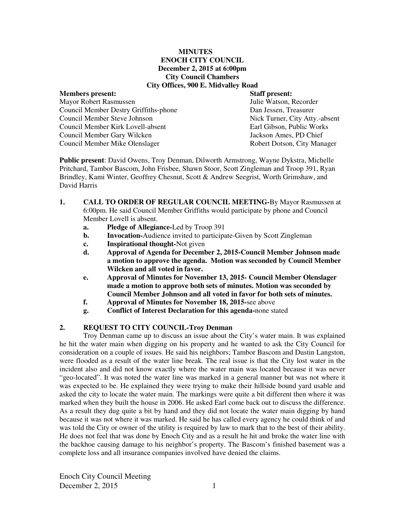#### **MINUTES ENOCH CITY COUNCIL December 2, 2015 at 6:00pm City Council Chambers City Offices, 900 E. Midvalley Road**

## **Members present: Staff present:**  Mayor Robert Rasmussen Council Member Destry Griffiths-phone Dan Jessen, Treasurer Council Member Steve Johnson Nick Turner, City Atty.-absent Council Member Kirk Lovell-absent Earl Gibson, Public Works Council Member Gary Wilcken Jackson Ames, PD Chief Council Member Mike Olenslager **Robert Dotson, City Manager** Robert Dotson, City Manager

**Public present**: David Owens, Troy Denman, Dilworth Armstrong, Wayne Dykstra, Michelle Pritchard, Tambor Bascom, John Frisbee, Shawn Stoor, Scott Zingleman and Troop 391, Ryan Brindley, Kami Winter, Geoffrey Chesnut, Scott & Andrew Seegrist, Worth Grimshaw, and David Harris

- **1. CALL TO ORDER OF REGULAR COUNCIL MEETING-**By Mayor Rasmussen at 6:00pm. He said Council Member Griffiths would participate by phone and Council Member Lovell is absent.
	- **a. Pledge of Allegiance-**Led by Troop 391
	- **b.** Invocation-Audience invited to participate-Given by Scott Zingleman
	- **c.** Inspirational thought-Not given
	- **d. Approval of Agenda for December 2, 2015-Council Member Johnson made a motion to approve the agenda. Motion was seconded by Council Member Wilcken and all voted in favor.**
	- **e. Approval of Minutes for November 13, 2015- Council Member Olenslager made a motion to approve both sets of minutes. Motion was seconded by Council Member Johnson and all voted in favor for both sets of minutes.**
	- **f. Approval of Minutes for November 18, 2015-**see above
	- **g. Conflict of Interest Declaration for this agenda-**none stated

## **2. REQUEST TO CITY COUNCIL-Troy Denman**

Troy Denman came up to discuss an issue about the City's water main. It was explained he hit the water main when digging on his property and he wanted to ask the City Council for consideration on a couple of issues. He said his neighbors; Tambor Bascom and Dustin Langston, were flooded as a result of the water line break. The real issue is that the City lost water in the incident also and did not know exactly where the water main was located because it was never "geo-located". It was noted the water line was marked in a general manner but was not where it was expected to be. He explained they were trying to make their hillside bound yard usable and asked the city to locate the water main. The markings were quite a bit different then where it was marked when they built the house in 2006. He asked Earl come back out to discuss the difference. As a result they dug quite a bit by hand and they did not locate the water main digging by hand because it was not where it was marked. He said he has called every agency he could think of and was told the City or owner of the utility is required by law to mark that to the best of their ability. He does not feel that was done by Enoch City and as a result he hit and broke the water line with the backhoe causing damage to his neighbor's property. The Bascom's finished basement was a complete loss and all insurance companies involved have denied the claims.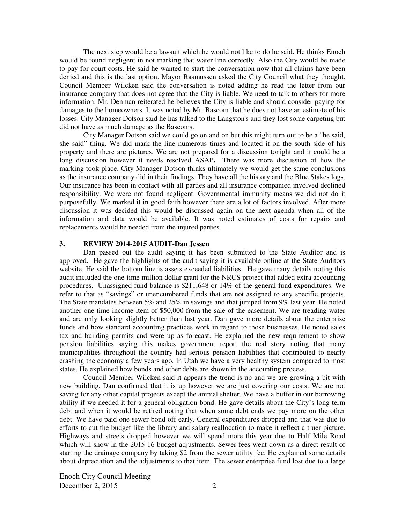The next step would be a lawsuit which he would not like to do he said. He thinks Enoch would be found negligent in not marking that water line correctly. Also the City would be made to pay for court costs. He said he wanted to start the conversation now that all claims have been denied and this is the last option. Mayor Rasmussen asked the City Council what they thought. Council Member Wilcken said the conversation is noted adding he read the letter from our insurance company that does not agree that the City is liable. We need to talk to others for more information. Mr. Denman reiterated he believes the City is liable and should consider paying for damages to the homeowners. It was noted by Mr. Bascom that he does not have an estimate of his losses. City Manager Dotson said he has talked to the Langston's and they lost some carpeting but did not have as much damage as the Bascoms.

City Manager Dotson said we could go on and on but this might turn out to be a "he said, she said" thing. We did mark the line numerous times and located it on the south side of his property and there are pictures. We are not prepared for a discussion tonight and it could be a long discussion however it needs resolved ASAP**.** There was more discussion of how the marking took place. City Manager Dotson thinks ultimately we would get the same conclusions as the insurance company did in their findings. They have all the history and the Blue Stakes logs. Our insurance has been in contact with all parties and all insurance companied involved declined responsibility. We were not found negligent. Governmental immunity means we did not do it purposefully. We marked it in good faith however there are a lot of factors involved. After more discussion it was decided this would be discussed again on the next agenda when all of the information and data would be available. It was noted estimates of costs for repairs and replacements would be needed from the injured parties.

#### **3. REVIEW 2014-2015 AUDIT-Dan Jessen**

Dan passed out the audit saying it has been submitted to the State Auditor and is approved. He gave the highlights of the audit saying it is available online at the State Auditors website. He said the bottom line is assets exceeded liabilities. He gave many details noting this audit included the one-time million dollar grant for the NRCS project that added extra accounting procedures. Unassigned fund balance is \$211,648 or 14% of the general fund expenditures. We refer to that as "savings" or unencumbered funds that are not assigned to any specific projects. The State mandates between 5% and 25% in savings and that jumped from 9% last year. He noted another one-time income item of \$50,000 from the sale of the easement. We are treading water and are only looking slightly better than last year. Dan gave more details about the enterprise funds and how standard accounting practices work in regard to those businesses. He noted sales tax and building permits and were up as forecast. He explained the new requirement to show pension liabilities saying this makes government report the real story noting that many municipalities throughout the country had serious pension liabilities that contributed to nearly crashing the economy a few years ago. In Utah we have a very healthy system compared to most states. He explained how bonds and other debts are shown in the accounting process.

Council Member Wilcken said it appears the trend is up and we are growing a bit with new building. Dan confirmed that it is up however we are just covering our costs. We are not saving for any other capital projects except the animal shelter. We have a buffer in our borrowing ability if we needed it for a general obligation bond. He gave details about the City's long term debt and when it would be retired noting that when some debt ends we pay more on the other debt. We have paid one sewer bond off early. General expenditures dropped and that was due to efforts to cut the budget like the library and salary reallocation to make it reflect a truer picture. Highways and streets dropped however we will spend more this year due to Half Mile Road which will show in the 2015-16 budget adjustments. Sewer fees went down as a direct result of starting the drainage company by taking \$2 from the sewer utility fee. He explained some details about depreciation and the adjustments to that item. The sewer enterprise fund lost due to a large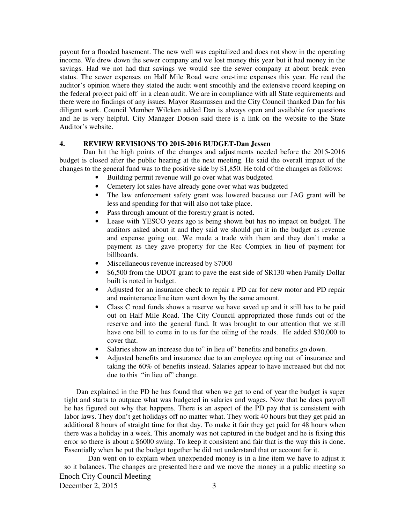payout for a flooded basement. The new well was capitalized and does not show in the operating income. We drew down the sewer company and we lost money this year but it had money in the savings. Had we not had that savings we would see the sewer company at about break even status. The sewer expenses on Half Mile Road were one-time expenses this year. He read the auditor's opinion where they stated the audit went smoothly and the extensive record keeping on the federal project paid off in a clean audit. We are in compliance with all State requirements and there were no findings of any issues. Mayor Rasmussen and the City Council thanked Dan for his diligent work. Council Member Wilcken added Dan is always open and available for questions and he is very helpful. City Manager Dotson said there is a link on the website to the State Auditor's website.

#### **4. REVIEW REVISIONS TO 2015-2016 BUDGET-Dan Jessen**

Dan hit the high points of the changes and adjustments needed before the 2015-2016 budget is closed after the public hearing at the next meeting. He said the overall impact of the changes to the general fund was to the positive side by \$1,850. He told of the changes as follows:

- Building permit revenue will go over what was budgeted
- Cemetery lot sales have already gone over what was budgeted
- The law enforcement safety grant was lowered because our JAG grant will be less and spending for that will also not take place.
- Pass through amount of the forestry grant is noted.
- Lease with YESCO years ago is being shown but has no impact on budget. The auditors asked about it and they said we should put it in the budget as revenue and expense going out. We made a trade with them and they don't make a payment as they gave property for the Rec Complex in lieu of payment for billboards.
- Miscellaneous revenue increased by \$7000
- \$6,500 from the UDOT grant to pave the east side of SR130 when Family Dollar built is noted in budget.
- Adjusted for an insurance check to repair a PD car for new motor and PD repair and maintenance line item went down by the same amount.
- Class C road funds shows a reserve we have saved up and it still has to be paid out on Half Mile Road. The City Council appropriated those funds out of the reserve and into the general fund. It was brought to our attention that we still have one bill to come in to us for the oiling of the roads. He added \$30,000 to cover that.
- Salaries show an increase due to" in lieu of" benefits and benefits go down.
- Adjusted benefits and insurance due to an employee opting out of insurance and taking the 60% of benefits instead. Salaries appear to have increased but did not due to this "in lieu of" change.

Dan explained in the PD he has found that when we get to end of year the budget is super tight and starts to outpace what was budgeted in salaries and wages. Now that he does payroll he has figured out why that happens. There is an aspect of the PD pay that is consistent with labor laws. They don't get holidays off no matter what. They work 40 hours but they get paid an additional 8 hours of straight time for that day. To make it fair they get paid for 48 hours when there was a holiday in a week. This anomaly was not captured in the budget and he is fixing this error so there is about a \$6000 swing. To keep it consistent and fair that is the way this is done. Essentially when he put the budget together he did not understand that or account for it.

Enoch City Council Meeting Dan went on to explain when unexpended money is in a line item we have to adjust it so it balances. The changes are presented here and we move the money in a public meeting so

December 2,  $2015$  3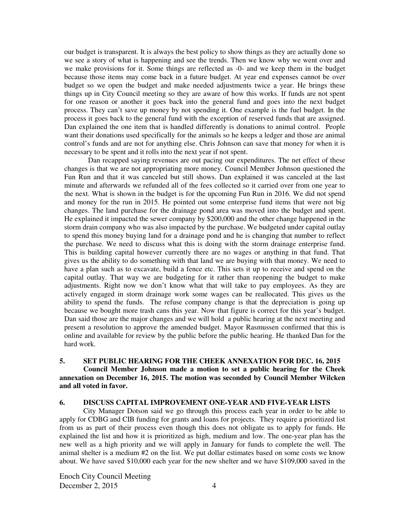our budget is transparent. It is always the best policy to show things as they are actually done so we see a story of what is happening and see the trends. Then we know why we went over and we make provisions for it. Some things are reflected as -0- and we keep them in the budget because those items may come back in a future budget. At year end expenses cannot be over budget so we open the budget and make needed adjustments twice a year. He brings these things up in City Council meeting so they are aware of how this works. If funds are not spent for one reason or another it goes back into the general fund and goes into the next budget process. They can't save up money by not spending it. One example is the fuel budget. In the process it goes back to the general fund with the exception of reserved funds that are assigned. Dan explained the one item that is handled differently is donations to animal control. People want their donations used specifically for the animals so he keeps a ledger and those are animal control's funds and are not for anything else. Chris Johnson can save that money for when it is necessary to be spent and it rolls into the next year if not spent.

Dan recapped saying revenues are out pacing our expenditures. The net effect of these changes is that we are not appropriating more money. Council Member Johnson questioned the Fun Run and that it was canceled but still shows. Dan explained it was canceled at the last minute and afterwards we refunded all of the fees collected so it carried over from one year to the next. What is shown in the budget is for the upcoming Fun Run in 2016. We did not spend and money for the run in 2015. He pointed out some enterprise fund items that were not big changes. The land purchase for the drainage pond area was moved into the budget and spent. He explained it impacted the sewer company by \$200,000 and the other change happened in the storm drain company who was also impacted by the purchase. We budgeted under capital outlay to spend this money buying land for a drainage pond and he is changing that number to reflect the purchase. We need to discuss what this is doing with the storm drainage enterprise fund. This is building capital however currently there are no wages or anything in that fund. That gives us the ability to do something with that land we are buying with that money. We need to have a plan such as to excavate, build a fence etc. This sets it up to receive and spend on the capital outlay. That way we are budgeting for it rather than reopening the budget to make adjustments. Right now we don't know what that will take to pay employees. As they are actively engaged in storm drainage work some wages can be reallocated. This gives us the ability to spend the funds. The refuse company change is that the depreciation is going up because we bought more trash cans this year. Now that figure is correct for this year's budget. Dan said those are the major changes and we will hold a public hearing at the next meeting and present a resolution to approve the amended budget. Mayor Rasmussen confirmed that this is online and available for review by the public before the public hearing. He thanked Dan for the hard work.

### **5. SET PUBLIC HEARING FOR THE CHEEK ANNEXATION FOR DEC. 16, 2015 Council Member Johnson made a motion to set a public hearing for the Cheek annexation on December 16, 2015. The motion was seconded by Council Member Wilcken and all voted in favor.**

#### **6. DISCUSS CAPITAL IMPROVEMENT ONE-YEAR AND FIVE-YEAR LISTS**

City Manager Dotson said we go through this process each year in order to be able to apply for CDBG and CIB funding for grants and loans for projects. They require a prioritized list from us as part of their process even though this does not obligate us to apply for funds. He explained the list and how it is prioritized as high, medium and low. The one-year plan has the new well as a high priority and we will apply in January for funds to complete the well. The animal shelter is a medium #2 on the list. We put dollar estimates based on some costs we know about. We have saved \$10,000 each year for the new shelter and we have \$109,000 saved in the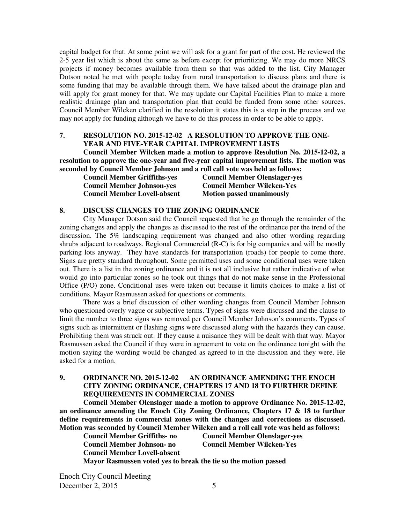capital budget for that. At some point we will ask for a grant for part of the cost. He reviewed the 2-5 year list which is about the same as before except for prioritizing. We may do more NRCS projects if money becomes available from them so that was added to the list. City Manager Dotson noted he met with people today from rural transportation to discuss plans and there is some funding that may be available through them. We have talked about the drainage plan and will apply for grant money for that. We may update our Capital Facilities Plan to make a more realistic drainage plan and transportation plan that could be funded from some other sources. Council Member Wilcken clarified in the resolution it states this is a step in the process and we may not apply for funding although we have to do this process in order to be able to apply.

### **7. RESOLUTION NO. 2015-12-02 A RESOLUTION TO APPROVE THE ONE-YEAR AND FIVE-YEAR CAPITAL IMPROVEMENT LISTS**

**Council Member Wilcken made a motion to approve Resolution No. 2015-12-02, a resolution to approve the one-year and five-year capital improvement lists. The motion was seconded by Council Member Johnson and a roll call vote was held as follows:** 

| <b>Council Member Griffiths-yes</b> | <b>Council Member Olenslager-yes</b> |
|-------------------------------------|--------------------------------------|
| <b>Council Member Johnson-yes</b>   | <b>Council Member Wilcken-Yes</b>    |
| <b>Council Member Lovell-absent</b> | <b>Motion passed unanimously</b>     |

#### **8. DISCUSS CHANGES TO THE ZONING ORDINANCE**

City Manager Dotson said the Council requested that he go through the remainder of the zoning changes and apply the changes as discussed to the rest of the ordinance per the trend of the discussion. The 5% landscaping requirement was changed and also other wording regarding shrubs adjacent to roadways. Regional Commercial (R-C) is for big companies and will be mostly parking lots anyway. They have standards for transportation (roads) for people to come there. Signs are pretty standard throughout. Some permitted uses and some conditional uses were taken out. There is a list in the zoning ordinance and it is not all inclusive but rather indicative of what would go into particular zones so he took out things that do not make sense in the Professional Office (P/O) zone. Conditional uses were taken out because it limits choices to make a list of conditions. Mayor Rasmussen asked for questions or comments.

There was a brief discussion of other wording changes from Council Member Johnson who questioned overly vague or subjective terms. Types of signs were discussed and the clause to limit the number to three signs was removed per Council Member Johnson's comments. Types of signs such as intermittent or flashing signs were discussed along with the hazards they can cause. Prohibiting them was struck out. If they cause a nuisance they will be dealt with that way. Mayor Rasmussen asked the Council if they were in agreement to vote on the ordinance tonight with the motion saying the wording would be changed as agreed to in the discussion and they were. He asked for a motion.

## **9. ORDINANCE NO. 2015-12-02 AN ORDINANCE AMENDING THE ENOCH CITY ZONING ORDINANCE, CHAPTERS 17 AND 18 TO FURTHER DEFINE REQUIREMENTS IN COMMERCIAL ZONES**

**Council Member Olenslager made a motion to approve Ordinance No. 2015-12-02, an ordinance amending the Enoch City Zoning Ordinance, Chapters 17 & 18 to further define requirements in commercial zones with the changes and corrections as discussed. Motion was seconded by Council Member Wilcken and a roll call vote was held as follows:** 

**Council Member Lovell-absent** 

**Council Member Griffiths- no Council Member Olenslager-yes Council Member Johnson- no Council Member Wilcken-Yes** 

**Mayor Rasmussen voted yes to break the tie so the motion passed**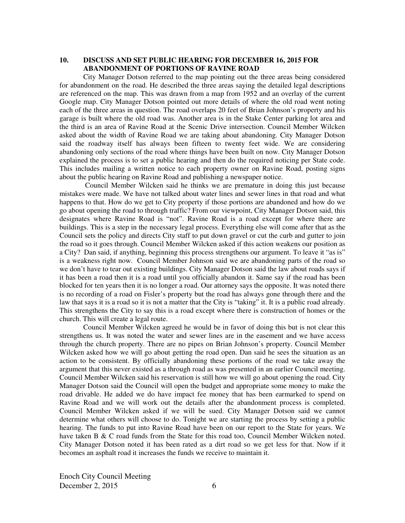## **10. DISCUSS AND SET PUBLIC HEARING FOR DECEMBER 16, 2015 FOR ABANDONMENT OF PORTIONS OF RAVINE ROAD**

City Manager Dotson referred to the map pointing out the three areas being considered for abandonment on the road. He described the three areas saying the detailed legal descriptions are referenced on the map. This was drawn from a map from 1952 and an overlay of the current Google map. City Manager Dotson pointed out more details of where the old road went noting each of the three areas in question. The road overlaps 20 feet of Brian Johnson's property and his garage is built where the old road was. Another area is in the Stake Center parking lot area and the third is an area of Ravine Road at the Scenic Drive intersection. Council Member Wilcken asked about the width of Ravine Road we are taking about abandoning. City Manager Dotson said the roadway itself has always been fifteen to twenty feet wide. We are considering abandoning only sections of the road where things have been built on now. City Manager Dotson explained the process is to set a public hearing and then do the required noticing per State code. This includes mailing a written notice to each property owner on Ravine Road, posting signs about the public hearing on Ravine Road and publishing a newspaper notice.

Council Member Wilcken said he thinks we are premature in doing this just because mistakes were made. We have not talked about water lines and sewer lines in that road and what happens to that. How do we get to City property if those portions are abandoned and how do we go about opening the road to through traffic? From our viewpoint, City Manager Dotson said, this designates where Ravine Road is "not". Ravine Road is a road except for where there are buildings. This is a step in the necessary legal process. Everything else will come after that as the Council sets the policy and directs City staff to put down gravel or cut the curb and gutter to join the road so it goes through. Council Member Wilcken asked if this action weakens our position as a City? Dan said, if anything, beginning this process strengthens our argument. To leave it "as is" is a weakness right now. Council Member Johnson said we are abandoning parts of the road so we don't have to tear out existing buildings. City Manager Dotson said the law about roads says if it has been a road then it is a road until you officially abandon it. Same say if the road has been blocked for ten years then it is no longer a road. Our attorney says the opposite. It was noted there is no recording of a road on Fisler's property but the road has always gone through there and the law that says it is a road so it is not a matter that the City is "taking" it. It is a public road already. This strengthens the City to say this is a road except where there is construction of homes or the church. This will create a legal route.

Council Member Wilcken agreed he would be in favor of doing this but is not clear this strengthens us. It was noted the water and sewer lines are in the easement and we have access through the church property. There are no pipes on Brian Johnson's property. Council Member Wilcken asked how we will go about getting the road open. Dan said he sees the situation as an action to be consistent. By officially abandoning these portions of the road we take away the argument that this never existed as a through road as was presented in an earlier Council meeting. Council Member Wilcken said his reservation is still how we will go about opening the road. City Manager Dotson said the Council will open the budget and appropriate some money to make the road drivable. He added we do have impact fee money that has been earmarked to spend on Ravine Road and we will work out the details after the abandonment process is completed. Council Member Wilcken asked if we will be sued. City Manager Dotson said we cannot determine what others will choose to do. Tonight we are starting the process by setting a public hearing. The funds to put into Ravine Road have been on our report to the State for years. We have taken B & C road funds from the State for this road too, Council Member Wilcken noted. City Manager Dotson noted it has been rated as a dirt road so we get less for that. Now if it becomes an asphalt road it increases the funds we receive to maintain it.